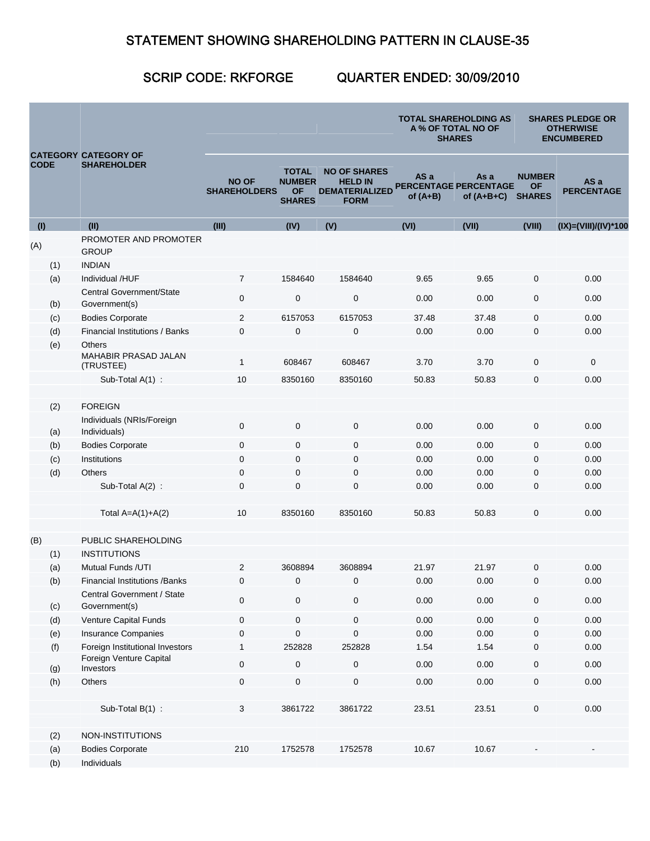## STATEMENT SHOWING SHAREHOLDING PATTERN IN CLAUSE-35

## SCRIP CODE: RKFORGE QUARTER ENDED: 30/09/2010

| <b>CODE</b> |     | <b>CATEGORY CATEGORY OF</b><br><b>SHAREHOLDER</b> |                                     |                                                             |                                                                               |                                             | <b>TOTAL SHAREHOLDING AS</b><br><b>A % OF TOTAL NO OF</b><br><b>SHARES</b> | <b>SHARES PLEDGE OR</b><br><b>OTHERWISE</b><br><b>ENCUMBERED</b> |                           |
|-------------|-----|---------------------------------------------------|-------------------------------------|-------------------------------------------------------------|-------------------------------------------------------------------------------|---------------------------------------------|----------------------------------------------------------------------------|------------------------------------------------------------------|---------------------------|
|             |     |                                                   | <b>NO OF</b><br><b>SHAREHOLDERS</b> | <b>TOTAL</b><br><b>NUMBER</b><br><b>OF</b><br><b>SHARES</b> | <b>NO OF SHARES</b><br><b>HELD IN</b><br><b>DEMATERIALIZED</b><br><b>FORM</b> | AS a<br>PERCENTAGE PERCENTAGE<br>of $(A+B)$ | As a<br>of $(A+B+C)$                                                       | <b>NUMBER</b><br><b>OF</b><br><b>SHARES</b>                      | AS a<br><b>PERCENTAGE</b> |
| (1)         |     | (II)                                              | (III)                               | (IV)                                                        | (V)                                                                           | (VI)                                        | (VII)                                                                      | (VIII)                                                           | (IX)=(VIII)/(IV)*100      |
| (A)         |     | PROMOTER AND PROMOTER<br><b>GROUP</b>             |                                     |                                                             |                                                                               |                                             |                                                                            |                                                                  |                           |
|             | (1) | <b>INDIAN</b>                                     |                                     |                                                             |                                                                               |                                             |                                                                            |                                                                  |                           |
|             | (a) | Individual /HUF                                   | $\overline{7}$                      | 1584640                                                     | 1584640                                                                       | 9.65                                        | 9.65                                                                       | 0                                                                | 0.00                      |
|             | (b) | <b>Central Government/State</b><br>Government(s)  | $\mathbf 0$                         | $\mathbf 0$                                                 | $\mathbf 0$                                                                   | 0.00                                        | 0.00                                                                       | $\mathbf 0$                                                      | 0.00                      |
|             | (c) | <b>Bodies Corporate</b>                           | $\overline{2}$                      | 6157053                                                     | 6157053                                                                       | 37.48                                       | 37.48                                                                      | $\mathbf{0}$                                                     | 0.00                      |
|             | (d) | Financial Institutions / Banks                    | $\mathbf 0$                         | $\mathbf 0$                                                 | $\mathbf 0$                                                                   | 0.00                                        | 0.00                                                                       | $\mathbf 0$                                                      | 0.00                      |
|             | (e) | <b>Others</b>                                     |                                     |                                                             |                                                                               |                                             |                                                                            |                                                                  |                           |
|             |     | <b>MAHABIR PRASAD JALAN</b><br>(TRUSTEE)          | $\mathbf{1}$                        | 608467                                                      | 608467                                                                        | 3.70                                        | 3.70                                                                       | $\mathbf 0$                                                      | 0                         |
|             |     | Sub-Total A(1) :                                  | 10                                  | 8350160                                                     | 8350160                                                                       | 50.83                                       | 50.83                                                                      | $\mathbf 0$                                                      | 0.00                      |
|             |     |                                                   |                                     |                                                             |                                                                               |                                             |                                                                            |                                                                  |                           |
|             | (2) | <b>FOREIGN</b>                                    |                                     |                                                             |                                                                               |                                             |                                                                            |                                                                  |                           |
|             | (a) | Individuals (NRIs/Foreign<br>Individuals)         | $\boldsymbol{0}$                    | $\mathbf 0$                                                 | $\mathbf 0$                                                                   | 0.00                                        | 0.00                                                                       | $\mathbf 0$                                                      | 0.00                      |
|             | (b) | <b>Bodies Corporate</b>                           | $\mathbf 0$                         | $\mathbf 0$                                                 | 0                                                                             | 0.00                                        | 0.00                                                                       | 0                                                                | 0.00                      |
|             | (c) | Institutions                                      | $\mathbf 0$                         | $\mathbf 0$                                                 | $\mathbf 0$                                                                   | 0.00                                        | 0.00                                                                       | 0                                                                | 0.00                      |
|             | (d) | <b>Others</b>                                     | $\mathbf 0$                         | $\mathbf 0$                                                 | $\mathbf 0$                                                                   | 0.00                                        | 0.00                                                                       | 0                                                                | 0.00                      |
|             |     | Sub-Total $A(2)$ :                                | $\mathbf 0$                         | $\mathbf{0}$                                                | $\mathbf 0$                                                                   | 0.00                                        | 0.00                                                                       | $\mathbf 0$                                                      | 0.00                      |
|             |     | Total $A=A(1)+A(2)$                               | 10                                  | 8350160                                                     | 8350160                                                                       | 50.83                                       | 50.83                                                                      | $\pmb{0}$                                                        | 0.00                      |
| (B)         |     | PUBLIC SHAREHOLDING                               |                                     |                                                             |                                                                               |                                             |                                                                            |                                                                  |                           |
|             | (1) | <b>INSTITUTIONS</b>                               |                                     |                                                             |                                                                               |                                             |                                                                            |                                                                  |                           |
|             | (a) | Mutual Funds /UTI                                 | $\overline{2}$                      | 3608894                                                     | 3608894                                                                       | 21.97                                       | 21.97                                                                      | $\mathbf 0$                                                      | 0.00                      |
|             | (b) | <b>Financial Institutions / Banks</b>             | 0                                   | $\mathbf{0}$                                                | $\mathbf 0$                                                                   | 0.00                                        | 0.00                                                                       | $\mathbf{0}$                                                     | 0.00                      |
|             | (c) | Central Government / State<br>Government(s)       | $\mathbf 0$                         | $\mathbf 0$                                                 | 0                                                                             | 0.00                                        | 0.00                                                                       | $\pmb{0}$                                                        | 0.00                      |
|             | (d) | Venture Capital Funds                             | $\mathbf 0$                         | $\pmb{0}$                                                   | $\pmb{0}$                                                                     | 0.00                                        | 0.00                                                                       | 0                                                                | 0.00                      |
|             | (e) | Insurance Companies                               | 0                                   | $\mathbf 0$                                                 | $\mathbf 0$                                                                   | 0.00                                        | 0.00                                                                       | 0                                                                | 0.00                      |
|             | (f) | Foreign Institutional Investors                   | 1                                   | 252828                                                      | 252828                                                                        | 1.54                                        | 1.54                                                                       | 0                                                                | 0.00                      |
|             | (g) | Foreign Venture Capital<br>Investors              | $\mathbf 0$                         | $\pmb{0}$                                                   | $\pmb{0}$                                                                     | 0.00                                        | 0.00                                                                       | 0                                                                | 0.00                      |
|             | (h) | Others                                            | $\pmb{0}$                           | $\pmb{0}$                                                   | $\mathbf 0$                                                                   | 0.00                                        | 0.00                                                                       | 0                                                                | 0.00                      |
|             |     |                                                   |                                     |                                                             |                                                                               |                                             |                                                                            |                                                                  |                           |
|             |     | Sub-Total $B(1)$ :                                | $\sqrt{3}$                          | 3861722                                                     | 3861722                                                                       | 23.51                                       | 23.51                                                                      | 0                                                                | 0.00                      |
|             | (2) | NON-INSTITUTIONS                                  |                                     |                                                             |                                                                               |                                             |                                                                            |                                                                  |                           |
|             | (a) | <b>Bodies Corporate</b>                           | 210                                 | 1752578                                                     | 1752578                                                                       | 10.67                                       | 10.67                                                                      |                                                                  |                           |
|             | (b) | Individuals                                       |                                     |                                                             |                                                                               |                                             |                                                                            |                                                                  |                           |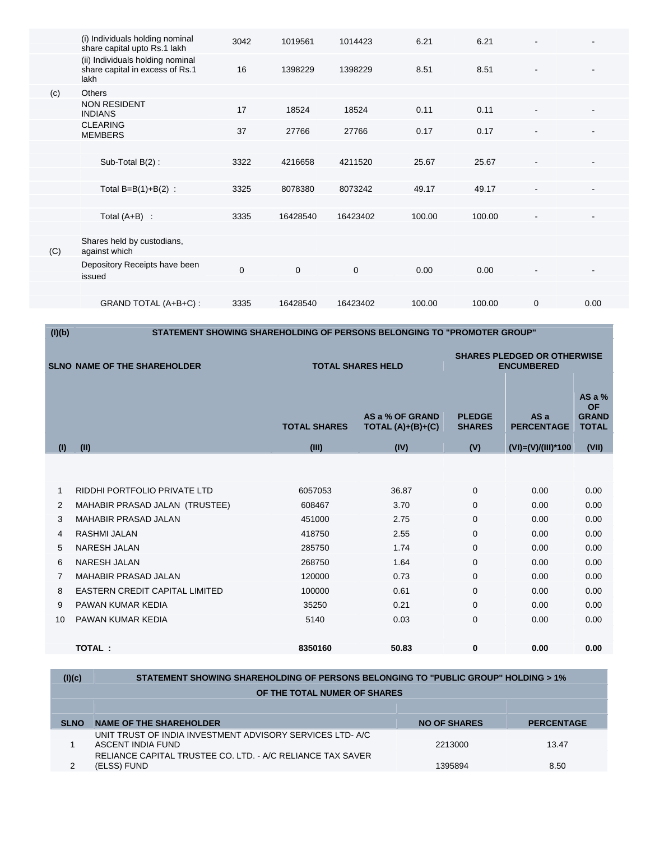|     | (i) Individuals holding nominal<br>share capital upto Rs.1 lakh             | 3042        | 1019561     | 1014423     | 6.21   | 6.21   |                              |                |  |
|-----|-----------------------------------------------------------------------------|-------------|-------------|-------------|--------|--------|------------------------------|----------------|--|
|     | (ii) Individuals holding nominal<br>share capital in excess of Rs.1<br>lakh | 16          | 1398229     | 1398229     | 8.51   | 8.51   | $\blacksquare$               | $\blacksquare$ |  |
| (c) | <b>Others</b>                                                               |             |             |             |        |        |                              |                |  |
|     | <b>NON RESIDENT</b><br><b>INDIANS</b>                                       | 17          | 18524       | 18524       | 0.11   | 0.11   | $\blacksquare$               |                |  |
|     | <b>CLEARING</b><br><b>MEMBERS</b>                                           | 37          | 27766       | 27766       | 0.17   | 0.17   | $\qquad \qquad \blacksquare$ |                |  |
|     |                                                                             |             |             |             |        |        |                              |                |  |
|     | Sub-Total B(2):                                                             | 3322        | 4216658     | 4211520     | 25.67  | 25.67  | $\blacksquare$               |                |  |
|     |                                                                             |             |             |             |        |        |                              |                |  |
|     | Total $B=B(1)+B(2)$ :                                                       | 3325        | 8078380     | 8073242     | 49.17  | 49.17  | $\blacksquare$               |                |  |
|     |                                                                             |             |             |             |        |        |                              |                |  |
|     | Total $(A+B)$ :                                                             | 3335        | 16428540    | 16423402    | 100.00 | 100.00 |                              |                |  |
|     |                                                                             |             |             |             |        |        |                              |                |  |
| (C) | Shares held by custodians,<br>against which                                 |             |             |             |        |        |                              |                |  |
|     | Depository Receipts have been<br>issued                                     | $\mathbf 0$ | $\mathbf 0$ | $\mathbf 0$ | 0.00   | 0.00   | $\overline{\phantom{a}}$     |                |  |
|     |                                                                             |             |             |             |        |        |                              |                |  |
|     | GRAND TOTAL (A+B+C):                                                        | 3335        | 16428540    | 16423402    | 100.00 | 100.00 | $\mathbf{0}$                 | 0.00           |  |
|     |                                                                             |             |             |             |        |        |                              |                |  |

**(I)(b) STATEMENT SHOWING SHAREHOLDING OF PERSONS BELONGING TO "PROMOTER GROUP" SLNO NAME OF THE SHAREHOLDER TOTAL SHARES HELD SHARES PLEDGED OR OTHERWISE ENCUMBERED TOTAL SHARES AS a % OF GRAND TOTAL (A)+(B)+(C) PLEDGE SHARES AS a PERCENTAGE AS a % OF GRAND TOTAL (I) (II) (III) (IV) (V) (VI)=(V)/(III)\*100 (VII)**  1 RIDDHI PORTFOLIO PRIVATE LTD 6057053 36.87 0 0.00 0.00 0.00 2 MAHABIR PRASAD JALAN (TRUSTEE) 608467 3.70 0 0.00 0.00 3 MAHABIR PRASAD JALAN 451000 2.75 0 0.00 0.00 4 RASHMI JALAN 418750 2.55 0 0.00 0.00 5 NARESH JALAN 285750 1.74 0 0.00 0.00 6 NARESH JALAN 268750 1.64 0 0.00 0.00 7 MAHABIR PRASAD JALAN 120000 0.73 0 0.00 0.00 8 EASTERN CREDIT CAPITAL LIMITED 100000 0.61 0.00 0.00 0.00 0.00 9 PAWAN KUMAR KEDIA 35250 0.21 0 0.00 0.00

| TOTAL:                      | 8350160 | 50.83 | 0.00 | 0.00 |
|-----------------------------|---------|-------|------|------|
| 10 PAWAN KUMAR KEDIA        | 5140    | 0.03  | 0.00 | 0.00 |
| <b>S</b> PAWAIN NUMAR NEDIA | ວວ∠ວ∪   | ∪.∠ I | v.vv | v.vv |

| (I)(c)      | STATEMENT SHOWING SHAREHOLDING OF PERSONS BELONGING TO "PUBLIC GROUP" HOLDING > 1%                                                          |                     |                   |  |  |
|-------------|---------------------------------------------------------------------------------------------------------------------------------------------|---------------------|-------------------|--|--|
|             | OF THE TOTAL NUMER OF SHARES                                                                                                                |                     |                   |  |  |
|             |                                                                                                                                             |                     |                   |  |  |
| <b>SLNO</b> | <b>NAME OF THE SHAREHOLDER</b>                                                                                                              | <b>NO OF SHARES</b> | <b>PERCENTAGE</b> |  |  |
|             | UNIT TRUST OF INDIA INVESTMENT ADVISORY SERVICES LTD-A/C<br>ASCENT INDIA FUND<br>RELIANCE CAPITAL TRUSTEE CO. LTD. - A/C RELIANCE TAX SAVER | 2213000             | 13.47             |  |  |
| 2           | (ELSS) FUND                                                                                                                                 | 1395894             | 8.50              |  |  |